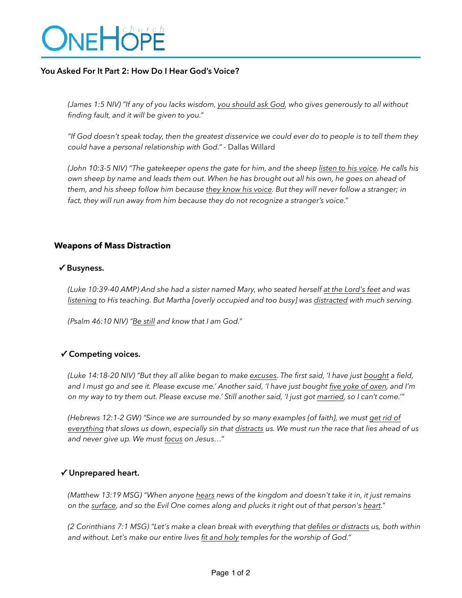# ONEHÖPE

### **You Asked For It Part 2: How Do I Hear God's Voice?**

*(James 1:5 NIV) "If any of you lacks wisdom, you should ask God, who gives generously to all without finding fault, and it will be given to you."* 

*"If God doesn't speak today, then the greatest disservice we could ever do to people is to tell them they could have a personal relationship with God."* - Dallas Willard

*(John 10:3-5 NIV) "The gatekeeper opens the gate for him, and the sheep listen to his voice. He calls his own sheep by name and leads them out. When he has brought out all his own, he goes on ahead of them, and his sheep follow him because they know his voice. But they will never follow a stranger; in fact, they will run away from him because they do not recognize a stranger's voice."* 

#### **Weapons of Mass Distraction**

#### **✓ Busyness.**

*(Luke 10:39-40 AMP) And she had a sister named Mary, who seated herself at the Lord's feet and was listening to His teaching. But Martha [overly occupied and too busy] was distracted with much serving.* 

*(Psalm 46:10 NIV) "Be still and know that I am God."* 

## **✓ Competing voices.**

*(Luke 14:18-20 NIV) "But they all alike began to make excuses. The first said, 'I have just bought a field, and I must go and see it. Please excuse me.' Another said, 'I have just bought five yoke of oxen, and I'm on my way to try them out. Please excuse me.' Still another said, 'I just got married, so I can't come.'"* 

*(Hebrews 12:1-2 GW) "Since we are surrounded by so many examples {of faith}, we must get rid of everything that slows us down, especially sin that distracts us. We must run the race that lies ahead of us and never give up. We must focus on Jesus…"* 

#### **✓ Unprepared heart.**

*(Matthew 13:19 MSG) "When anyone hears news of the kingdom and doesn't take it in, it just remains on the surface, and so the Evil One comes along and plucks it right out of that person's heart."*

*(2 Corinthians 7:1 MSG) "Let's make a clean break with everything that defiles or distracts us, both within and without. Let's make our entire lives fit and holy temples for the worship of God."*